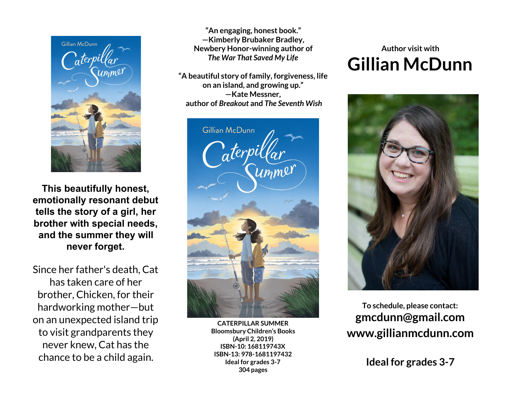

**This beautifully honest, emotionally resonant debut tells the story of a girl, her brother with special needs, and the summer they will never forget.**

Since her father's death, Cat has taken care of her brother, Chicken, for their hardworking mother—but on an unexpected island trip to visit grandparents they never knew, Cat has the chance to be a child again.

**"An engaging, honest book." —Kimberly Brubaker Bradley, Newbery Honor-winning author of** *The War That Saved My Life*

**"A beautiful story of family, forgiveness, life on an island, and growing up." —Kate Messner, author of** *Breakout* **and** *The Seventh Wish*



**CATERPILLAR SUMMER Bloomsbury Children's Books (April 2, 2019) ISBN-10: 168119743X ISBN-13: 978-1681197432 Ideal for grades 3-7 304 pages**

# **Author visit with Gillian McDunn**



**To schedule, please contact: gmcdunn@gmail.com www.gillianmcdunn.com**

**Ideal for grades 3-7**